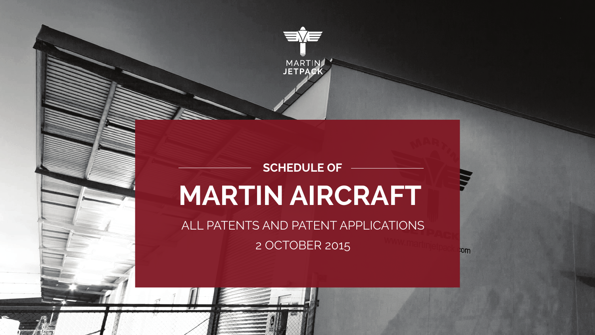

# **MARTIN AIRCRAFT SCHEDULE OF**

ALL PATENTS AND PATENT APPLICATIONS 2 OCTOBER 2015

**lom**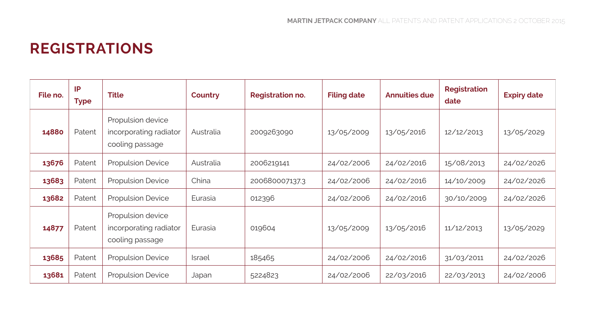### **REGISTRATIONS**

| File no. | IP<br><b>Type</b> | <b>Title</b>                                                   | Country       | <b>Registration no.</b> | <b>Filing date</b> | <b>Annuities due</b> | <b>Registration</b><br>date | <b>Expiry date</b> |
|----------|-------------------|----------------------------------------------------------------|---------------|-------------------------|--------------------|----------------------|-----------------------------|--------------------|
| 14880    | Patent            | Propulsion device<br>incorporating radiator<br>cooling passage | Australia     | 2009263090              | 13/05/2009         | 13/05/2016           | 12/12/2013                  | 13/05/2029         |
| 13676    | Patent            | Propulsion Device                                              | Australia     | 2006219141              | 24/02/2006         | 24/02/2016           | 15/08/2013                  | 24/02/2026         |
| 13683    | Patent            | <b>Propulsion Device</b>                                       | China         | 200680007137.3          | 24/02/2006         | 24/02/2016           | 14/10/2009                  | 24/02/2026         |
| 13682    | Patent            | <b>Propulsion Device</b>                                       | Eurasia       | 012396                  | 24/02/2006         | 24/02/2016           | 30/10/2009                  | 24/02/2026         |
| 14877    | Patent            | Propulsion device<br>incorporating radiator<br>cooling passage | Eurasia       | 019604                  | 13/05/2009         | 13/05/2016           | 11/12/2013                  | 13/05/2029         |
| 13685    | Patent            | <b>Propulsion Device</b>                                       | <b>Israel</b> | 185465                  | 24/02/2006         | 24/02/2016           | 31/03/2011                  | 24/02/2026         |
| 13681    | Patent            | Propulsion Device                                              | Japan         | 5224823                 | 24/02/2006         | 22/03/2016           | 22/03/2013                  | 24/02/2006         |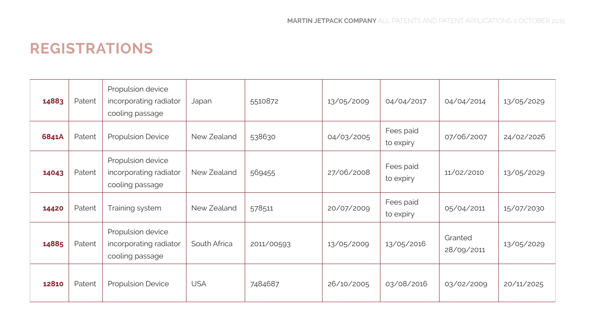#### **REGISTRATIONS**

| 14883 | Patent | Propulsion device<br>incorporating radiator<br>cooling passage | Japan        | 5510872    | 13/05/2009 | 04/04/2017             | 04/04/2014            | 13/05/2029 |
|-------|--------|----------------------------------------------------------------|--------------|------------|------------|------------------------|-----------------------|------------|
| 6841A | Patent | <b>Propulsion Device</b>                                       | New Zealand  | 538630     | 04/03/2005 | Fees paid<br>to expiry | 07/06/2007            | 24/02/2026 |
| 14043 | Patent | Propulsion device<br>incorporating radiator<br>cooling passage | New Zealand  | 569455     | 27/06/2008 | Fees paid<br>to expiry | 11/02/2010            | 13/05/2029 |
| 14420 | Patent | Training system                                                | New Zealand  | 578511     | 20/07/2009 | Fees paid<br>to expiry | 05/04/2011            | 15/07/2030 |
| 14885 | Patent | Propulsion device<br>incorporating radiator<br>cooling passage | South Africa | 2011/00593 | 13/05/2009 | 13/05/2016             | Granted<br>28/09/2011 | 13/05/2029 |
| 12810 | Patent | <b>Propulsion Device</b>                                       | <b>USA</b>   | 7484687    | 26/10/2005 | 03/08/2016             | 03/02/2009            | 20/11/2025 |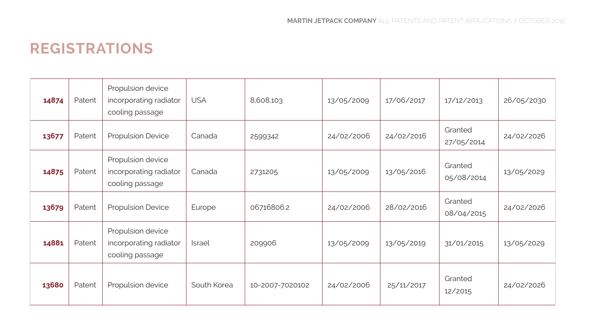#### **REGISTRATIONS**

| 14874 | Patent | Propulsion device<br>incorporating radiator<br>cooling passage | <b>USA</b>    | 8,608,103       | 13/05/2009 | 17/06/2017 | 17/12/2013            | 26/05/2030 |
|-------|--------|----------------------------------------------------------------|---------------|-----------------|------------|------------|-----------------------|------------|
| 13677 | Patent | Propulsion Device                                              | Canada        | 2599342         | 24/02/2006 | 24/02/2016 | Granted<br>27/05/2014 | 24/02/2026 |
| 14875 | Patent | Propulsion device<br>incorporating radiator<br>cooling passage | Canada        | 2731205         | 13/05/2009 | 13/05/2016 | Granted<br>05/08/2014 | 13/05/2029 |
| 13679 | Patent | Propulsion Device                                              | Europe        | 06716806.2      | 24/02/2006 | 28/02/2016 | Granted<br>08/04/2015 | 24/02/2026 |
| 14881 | Patent | Propulsion device<br>incorporating radiator<br>cooling passage | <b>Israel</b> | 209906          | 13/05/2009 | 13/05/2019 | 31/01/2015            | 13/05/2029 |
| 13680 | Patent | Propulsion device                                              | South Korea   | 10-2007-7020102 | 24/02/2006 | 25/11/2017 | Granted<br>12/2015    | 24/02/2026 |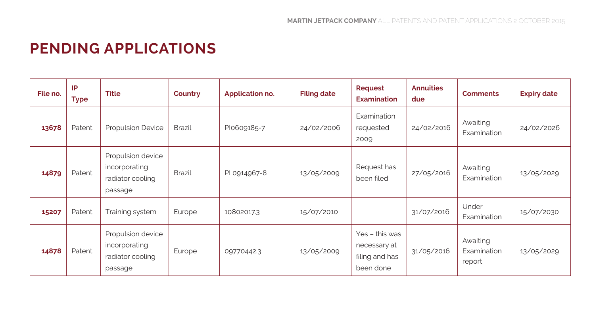## **PENDING APPLICATIONS**

| File no. | IP<br><b>Type</b> | <b>Title</b>                                                      | Country | Application no. | <b>Filing date</b> | Request<br><b>Examination</b>                                 | <b>Annuities</b><br>due | <b>Comments</b>                   | <b>Expiry date</b> |
|----------|-------------------|-------------------------------------------------------------------|---------|-----------------|--------------------|---------------------------------------------------------------|-------------------------|-----------------------------------|--------------------|
| 13678    | Patent            | <b>Propulsion Device</b>                                          | Brazil  | Plo609185-7     | 24/02/2006         | Examination<br>requested<br>2009                              | 24/02/2016              | Awaiting<br>Examination           | 24/02/2026         |
| 14879    | Patent            | Propulsion device<br>incorporating<br>radiator cooling<br>passage | Brazil  | PI 0914967-8    | 13/05/2009         | Request has<br>been filed                                     | 27/05/2016              | Awaiting<br>Examination           | 13/05/2029         |
| 15207    | Patent            | Training system                                                   | Europe  | 10802017.3      | 15/07/2010         |                                                               | 31/07/2016              | Under<br>Examination              | 15/07/2030         |
| 14878    | Patent            | Propulsion device<br>incorporating<br>radiator cooling<br>passage | Europe  | 09770442.3      | 13/05/2009         | Yes - this was<br>necessary at<br>filing and has<br>been done | 31/05/2016              | Awaiting<br>Examination<br>report | 13/05/2029         |